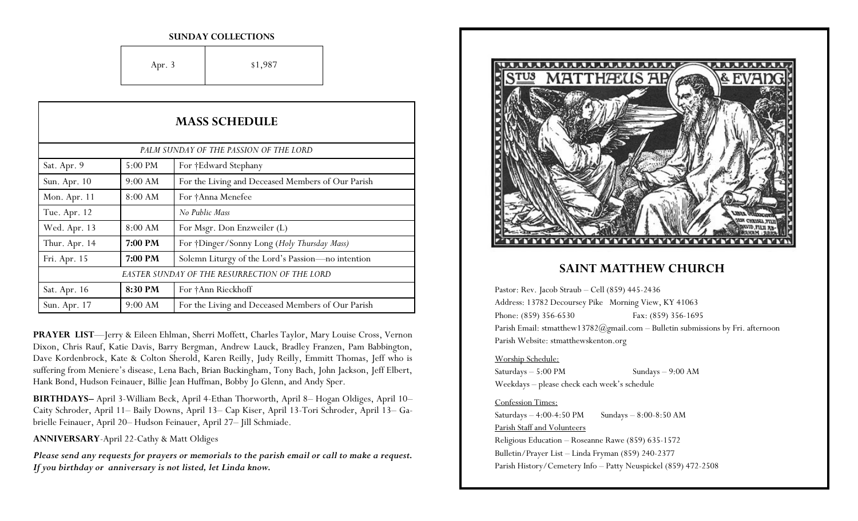#### **SUNDAY COLLECTIONS**

Apr. 3 \$1,987

| <b>MASS SCHEDULE</b>                          |         |                                                   |
|-----------------------------------------------|---------|---------------------------------------------------|
| PALM SUNDAY OF THE PASSION OF THE LORD        |         |                                                   |
| Sat. Apr. 9                                   | 5:00 PM | For †Edward Stephany                              |
| Sun. Apr. 10                                  | 9:00 AM | For the Living and Deceased Members of Our Parish |
| Mon. Apr. 11                                  | 8:00 AM | For †Anna Menefee                                 |
| Tue. Apr. 12                                  |         | No Public Mass                                    |
| Wed. Apr. 13                                  | 8:00 AM | For Msgr. Don Enzweiler (L)                       |
| Thur. Apr. 14                                 | 7:00 PM | For †Dinger/Sonny Long (Holy Thursday Mass)       |
| Fri. Apr. 15                                  | 7:00 PM | Solemn Liturgy of the Lord's Passion-no intention |
| EASTER SUNDAY OF THE RESURRECTION OF THE LORD |         |                                                   |
| Sat. Apr. 16                                  | 8:30 PM | For †Ann Rieckhoff                                |
| Sun. Apr. 17                                  | 9:00 AM | For the Living and Deceased Members of Our Parish |

**PRAYER LIST**—Jerry & Eileen Ehlman, Sherri Moffett, Charles Taylor, Mary Louise Cross, Vernon Dixon, Chris Rauf, Katie Davis, Barry Bergman, Andrew Lauck, Bradley Franzen, Pam Babbington, Dave Kordenbrock, Kate & Colton Sherold, Karen Reilly, Judy Reilly, Emmitt Thomas, Jeff who is suffering from Meniere's disease, Lena Bach, Brian Buckingham, Tony Bach, John Jackson, Jeff Elbert, Hank Bond, Hudson Feinauer, Billie Jean Huffman, Bobby Jo Glenn, and Andy Sper.

**BIRTHDAYS–** April 3-William Beck, April 4-Ethan Thorworth, April 8– Hogan Oldiges, April 10– Caity Schroder, April 11– Baily Downs, April 13– Cap Kiser, April 13-Tori Schroder, April 13– Gabrielle Feinauer, April 20– Hudson Feinauer, April 27– Jill Schmiade.

**ANNIVERSARY**-April 22-Cathy & Matt Oldiges

*Please send any requests for prayers or memorials to the parish email or call to make a request. If you birthday or anniversary is not listed, let Linda know.*



## **SAINT MATTHEW CHURCH**

Pastor: Rev. Jacob Straub – Cell (859) 445-2436 Address: 13782 Decoursey Pike Morning View, KY 41063 Phone: (859) 356-6530 Fax: (859) 356-1695 Parish Email: stmatthew13782@gmail.com – Bulletin submissions by Fri. afternoon Parish Website: stmatthewskenton.org

#### Worship Schedule:

Saturdays – 5:00 PM Sundays – 9:00 AM Weekdays – please check each week's schedule

#### Confession Times:

Saturdays  $-4:00-4:50 \text{ PM}$  Sundays  $-8:00-8:50 \text{ AM}$ Parish Staff and Volunteers Religious Education – Roseanne Rawe (859) 635-1572 Bulletin/Prayer List – Linda Fryman (859) 240-2377 Parish History/Cemetery Info – Patty Neuspickel (859) 472-2508